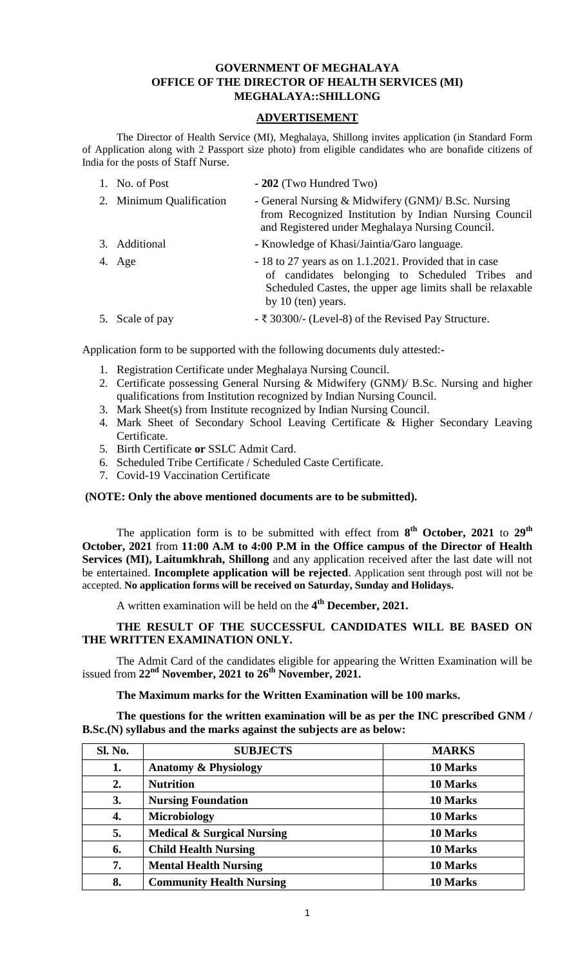### **GOVERNMENT OF MEGHALAYA OFFICE OF THE DIRECTOR OF HEALTH SERVICES (MI) MEGHALAYA::SHILLONG**

# **ADVERTISEMENT**

The Director of Health Service (MI), Meghalaya, Shillong invites application (in Standard Form of Application along with 2 Passport size photo) from eligible candidates who are bonafide citizens of India for the posts of Staff Nurse.

1. No. of Post **- 202** (Two Hundred Two)

| 2. Minimum Qualification | - General Nursing & Midwifery (GNM)/ B.Sc. Nursing<br>from Recognized Institution by Indian Nursing Council<br>and Registered under Meghalaya Nursing Council. |
|--------------------------|----------------------------------------------------------------------------------------------------------------------------------------------------------------|
| 3. Additional            | - Knowledge of Khasi/Jaintia/Garo language.                                                                                                                    |

- 4. Age **-** 18 to 27 years as on 1.1.2021. Provided that in case of candidates belonging to Scheduled Tribes and Scheduled Castes, the upper age limits shall be relaxable by 10 (ten) years.
- 5. Scale of pay **-** ₹ 30300/- (Level-8) of the Revised Pay Structure.

Application form to be supported with the following documents duly attested:-

- 1. Registration Certificate under Meghalaya Nursing Council.
- 2. Certificate possessing General Nursing & Midwifery (GNM)/ B.Sc. Nursing and higher qualifications from Institution recognized by Indian Nursing Council.
- 3. Mark Sheet(s) from Institute recognized by Indian Nursing Council.
- 4. Mark Sheet of Secondary School Leaving Certificate & Higher Secondary Leaving Certificate.
- 5. Birth Certificate **or** SSLC Admit Card.
- 6. Scheduled Tribe Certificate / Scheduled Caste Certificate.
- 7. Covid-19 Vaccination Certificate

### **(NOTE: Only the above mentioned documents are to be submitted).**

The application form is to be submitted with effect from **8 th October, 2021** to **29th October, 2021** from **11:00 A.M to 4:00 P.M in the Office campus of the Director of Health Services (MI), Laitumkhrah, Shillong** and any application received after the last date will not be entertained. **Incomplete application will be rejected**. Application sent through post will not be accepted. **No application forms will be received on Saturday, Sunday and Holidays.**

A written examination will be held on the **4 th December, 2021.**

#### **THE RESULT OF THE SUCCESSFUL CANDIDATES WILL BE BASED ON THE WRITTEN EXAMINATION ONLY.**

The Admit Card of the candidates eligible for appearing the Written Examination will be issued from **22nd November, 2021 to 26 th November, 2021.**

#### **The Maximum marks for the Written Examination will be 100 marks.**

**The questions for the written examination will be as per the INC prescribed GNM / B.Sc.(N) syllabus and the marks against the subjects are as below:**

| Sl. No. | <b>SUBJECTS</b>                       | <b>MARKS</b> |
|---------|---------------------------------------|--------------|
| 1.      | <b>Anatomy &amp; Physiology</b>       | 10 Marks     |
| 2.      | <b>Nutrition</b>                      | 10 Marks     |
| 3.      | <b>Nursing Foundation</b>             | 10 Marks     |
| 4.      | Microbiology                          | 10 Marks     |
| 5.      | <b>Medical &amp; Surgical Nursing</b> | 10 Marks     |
| 6.      | <b>Child Health Nursing</b>           | 10 Marks     |
| 7.      | <b>Mental Health Nursing</b>          | 10 Marks     |
| 8.      | <b>Community Health Nursing</b>       | 10 Marks     |